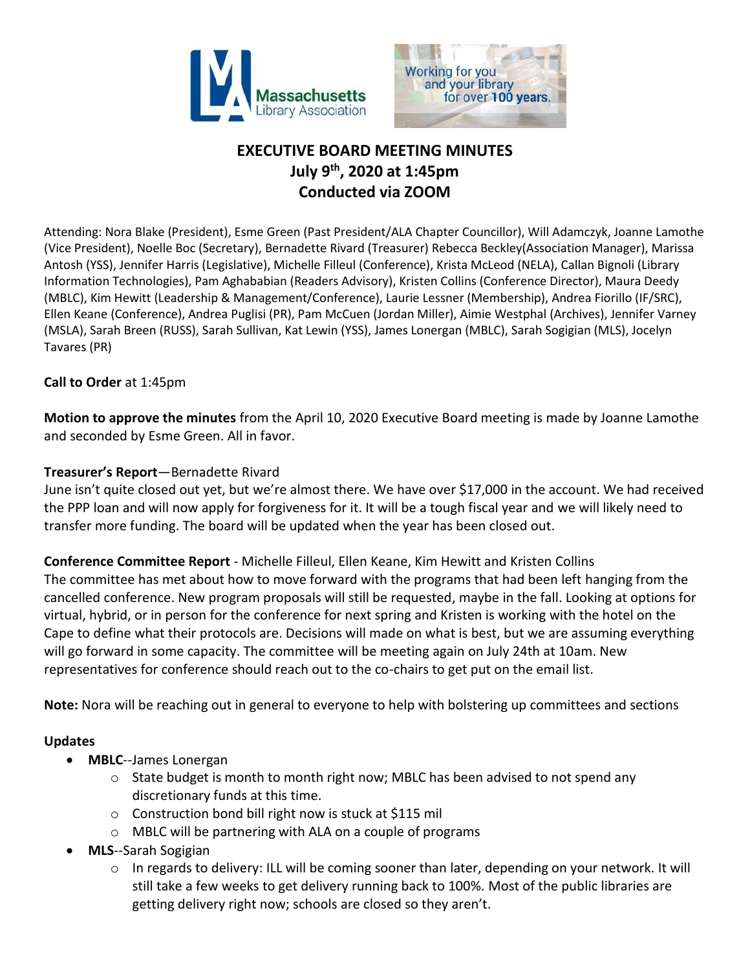



# **EXECUTIVE BOARD MEETING MINUTES July 9th, 2020 at 1:45pm Conducted via ZOOM**

Attending: Nora Blake (President), Esme Green (Past President/ALA Chapter Councillor), Will Adamczyk, Joanne Lamothe (Vice President), Noelle Boc (Secretary), Bernadette Rivard (Treasurer) Rebecca Beckley(Association Manager), Marissa Antosh (YSS), Jennifer Harris (Legislative), Michelle Filleul (Conference), Krista McLeod (NELA), Callan Bignoli (Library Information Technologies), Pam Aghababian (Readers Advisory), Kristen Collins (Conference Director), Maura Deedy (MBLC), Kim Hewitt (Leadership & Management/Conference), Laurie Lessner (Membership), Andrea Fiorillo (IF/SRC), Ellen Keane (Conference), Andrea Puglisi (PR), Pam McCuen (Jordan Miller), Aimie Westphal (Archives), Jennifer Varney (MSLA), Sarah Breen (RUSS), Sarah Sullivan, Kat Lewin (YSS), James Lonergan (MBLC), Sarah Sogigian (MLS), Jocelyn Tavares (PR)

## **Call to Order** at 1:45pm

**Motion to approve the minutes** from the April 10, 2020 Executive Board meeting is made by Joanne Lamothe and seconded by Esme Green. All in favor.

## **Treasurer's Report**—Bernadette Rivard

June isn't quite closed out yet, but we're almost there. We have over \$17,000 in the account. We had received the PPP loan and will now apply for forgiveness for it. It will be a tough fiscal year and we will likely need to transfer more funding. The board will be updated when the year has been closed out.

**Conference Committee Report** - Michelle Filleul, Ellen Keane, Kim Hewitt and Kristen Collins The committee has met about how to move forward with the programs that had been left hanging from the cancelled conference. New program proposals will still be requested, maybe in the fall. Looking at options for virtual, hybrid, or in person for the conference for next spring and Kristen is working with the hotel on the Cape to define what their protocols are. Decisions will made on what is best, but we are assuming everything will go forward in some capacity. The committee will be meeting again on July 24th at 10am. New representatives for conference should reach out to the co-chairs to get put on the email list.

**Note:** Nora will be reaching out in general to everyone to help with bolstering up committees and sections

## **Updates**

- **MBLC**--James Lonergan
	- $\circ$  State budget is month to month right now; MBLC has been advised to not spend any discretionary funds at this time.
	- o Construction bond bill right now is stuck at \$115 mil
	- o MBLC will be partnering with ALA on a couple of programs
- **MLS**--Sarah Sogigian
	- o In regards to delivery: ILL will be coming sooner than later, depending on your network. It will still take a few weeks to get delivery running back to 100%. Most of the public libraries are getting delivery right now; schools are closed so they aren't.